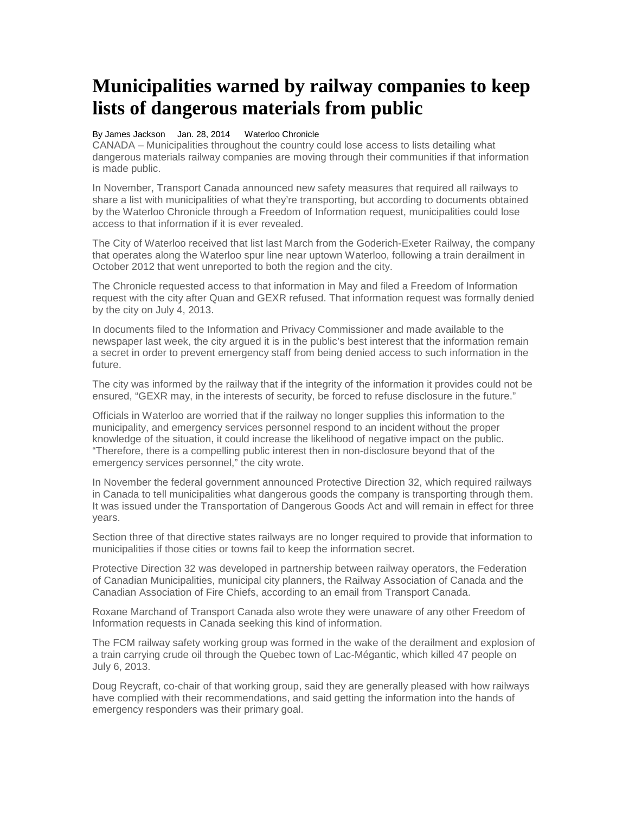## **Municipalities warned by railway companies to keep lists of dangerous materials from public**

## By James Jackson Jan. 28, 2014 Waterloo Chronicle

CANADA – Municipalities throughout the country could lose access to lists detailing what dangerous materials railway companies are moving through their communities if that information is made public.

In November, Transport Canada announced new safety measures that required all railways to share a list with municipalities of what they're transporting, but according to documents obtained by the Waterloo Chronicle through a Freedom of Information request, municipalities could lose access to that information if it is ever revealed.

The City of Waterloo received that list last March from the Goderich-Exeter Railway, the company that operates along the Waterloo spur line near uptown Waterloo, following a train derailment in October 2012 that went unreported to both the region and the city.

The Chronicle requested access to that information in May and filed a Freedom of Information request with the city after Quan and GEXR refused. That information request was formally denied by the city on July 4, 2013.

In documents filed to the Information and Privacy Commissioner and made available to the newspaper last week, the city argued it is in the public's best interest that the information remain a secret in order to prevent emergency staff from being denied access to such information in the future.

The city was informed by the railway that if the integrity of the information it provides could not be ensured, "GEXR may, in the interests of security, be forced to refuse disclosure in the future."

Officials in Waterloo are worried that if the railway no longer supplies this information to the municipality, and emergency services personnel respond to an incident without the proper knowledge of the situation, it could increase the likelihood of negative impact on the public. "Therefore, there is a compelling public interest then in non-disclosure beyond that of the emergency services personnel," the city wrote.

In November the federal government announced Protective Direction 32, which required railways in Canada to tell municipalities what dangerous goods the company is transporting through them. It was issued under the Transportation of Dangerous Goods Act and will remain in effect for three years.

Section three of that directive states railways are no longer required to provide that information to municipalities if those cities or towns fail to keep the information secret.

Protective Direction 32 was developed in partnership between railway operators, the Federation of Canadian Municipalities, municipal city planners, the Railway Association of Canada and the Canadian Association of Fire Chiefs, according to an email from Transport Canada.

Roxane Marchand of Transport Canada also wrote they were unaware of any other Freedom of Information requests in Canada seeking this kind of information.

The FCM railway safety working group was formed in the wake of the derailment and explosion of a train carrying crude oil through the Quebec town of Lac-Mégantic, which killed 47 people on July 6, 2013.

Doug Reycraft, co-chair of that working group, said they are generally pleased with how railways have complied with their recommendations, and said getting the information into the hands of emergency responders was their primary goal.